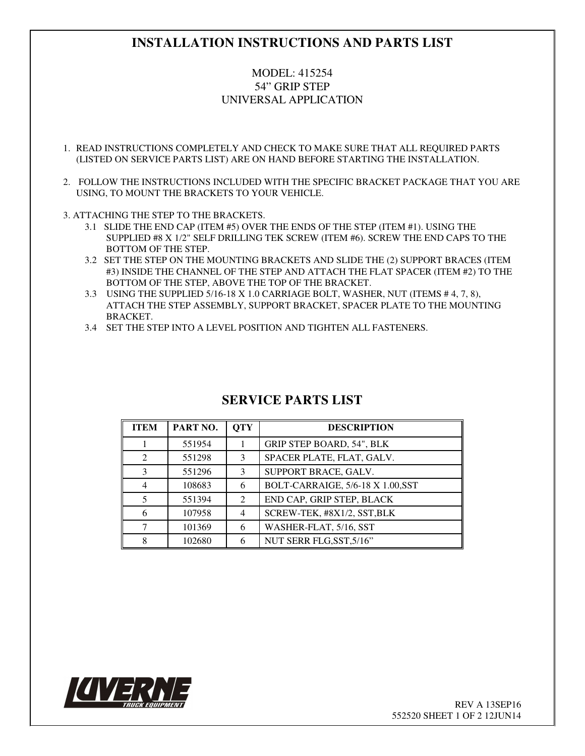## **INSTALLATION INSTRUCTIONS AND PARTS LIST**

## MODEL: 415254 54" GRIP STEP UNIVERSAL APPLICATION

- 1. READ INSTRUCTIONS COMPLETELY AND CHECK TO MAKE SURE THAT ALL REQUIRED PARTS (LISTED ON SERVICE PARTS LIST) ARE ON HAND BEFORE STARTING THE INSTALLATION.
- 2. FOLLOW THE INSTRUCTIONS INCLUDED WITH THE SPECIFIC BRACKET PACKAGE THAT YOU ARE USING, TO MOUNT THE BRACKETS TO YOUR VEHICLE.
- 3. ATTACHING THE STEP TO THE BRACKETS.
	- 3.1 SLIDE THE END CAP (ITEM #5) OVER THE ENDS OF THE STEP (ITEM #1). USING THE SUPPLIED #8 X 1/2" SELF DRILLING TEK SCREW (ITEM #6). SCREW THE END CAPS TO THE BOTTOM OF THE STEP.
	- 3.2 SET THE STEP ON THE MOUNTING BRACKETS AND SLIDE THE (2) SUPPORT BRACES (ITEM #3) INSIDE THE CHANNEL OF THE STEP AND ATTACH THE FLAT SPACER (ITEM #2) TO THE BOTTOM OF THE STEP, ABOVE THE TOP OF THE BRACKET.
	- 3.3 USING THE SUPPLIED 5/16-18 X 1.0 CARRIAGE BOLT, WASHER, NUT (ITEMS # 4, 7, 8), ATTACH THE STEP ASSEMBLY, SUPPORT BRACKET, SPACER PLATE TO THE MOUNTING BRACKET.
	- 3.4 SET THE STEP INTO A LEVEL POSITION AND TIGHTEN ALL FASTENERS.

| <b>ITEM</b>                 | PART NO. | <b>OTY</b> | <b>DESCRIPTION</b>                |
|-----------------------------|----------|------------|-----------------------------------|
|                             | 551954   |            | <b>GRIP STEP BOARD, 54", BLK</b>  |
| $\mathcal{D}_{\mathcal{L}}$ | 551298   | 3          | SPACER PLATE, FLAT, GALV.         |
| 3                           | 551296   | 3          | SUPPORT BRACE, GALV.              |
| 4                           | 108683   | 6          | BOLT-CARRAIGE, 5/6-18 X 1.00, SST |
| $\overline{\mathcal{L}}$    | 551394   | 2          | END CAP, GRIP STEP, BLACK         |
| 6                           | 107958   | 4          | SCREW-TEK, #8X1/2, SST, BLK       |
|                             | 101369   | 6          | WASHER-FLAT, 5/16, SST            |
| 8                           | 102680   | 6          | NUT SERR FLG, SST, 5/16"          |

## **SERVICE PARTS LIST**